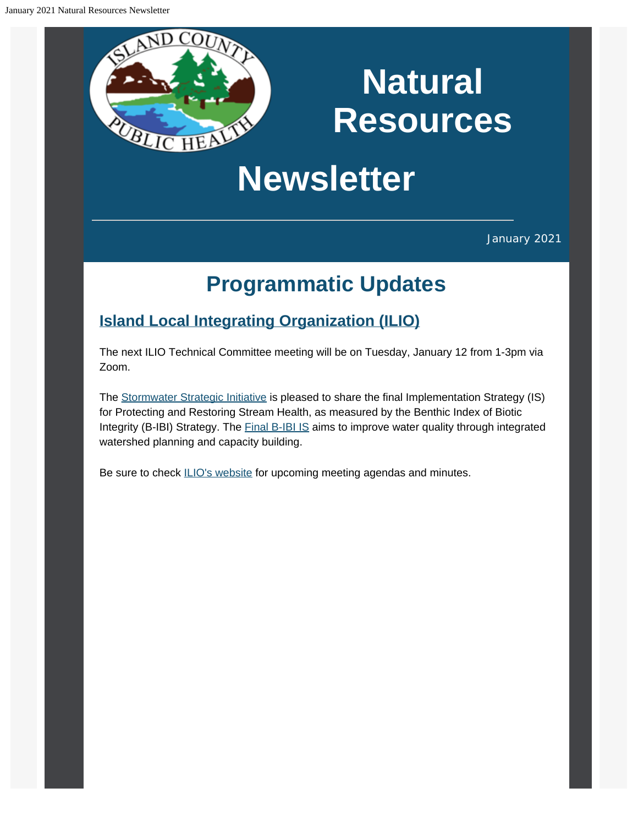# **Natural Resources**

# **Newsletter**

January 2021

## **Programmatic Updates**

### **[Island Local Integrating Organization \(ILIO\)](https://www.islandcountywa.gov/Health/DNR/ILIO/Pages/Home.aspx?utm_content=&utm_medium=email&utm_name=&utm_source=govdelivery&utm_term=)**

The next ILIO Technical Committee meeting will be on Tuesday, January 12 from 1-3pm via Zoom.

The [Stormwater Strategic Initiative](https://www.psp.wa.gov/strategic-initiatives-leads.php?utm_content=&utm_medium=email&utm_name=&utm_source=govdelivery&utm_term=) is pleased to share the final Implementation Strategy (IS) for Protecting and Restoring Stream Health, as measured by the Benthic Index of Biotic Integrity (B-IBI) Strategy. The **[Final B-IBI IS](https://lnks.gd/l/eyJhbGciOiJIUzI1NiJ9.eyJidWxsZXRpbl9saW5rX2lkIjoxMDAsInVyaSI6ImJwMjpjbGljayIsImJ1bGxldGluX2lkIjoiMjAyMDEyMTkuMzIyODE1NjEiLCJ1cmwiOiJodHRwczovL2FwcC5ib3guY29tL3MvOTBkdGFlYXB3bmFrOTF6ZXE1bW43NmFvc2w3am9xdXMifQ.YYVrAbf-v5Pua5PEBvQKL60DGk1q2xdtKT0v4yfXyAI/s/1099189490/br/92147915431-l?utm_content=&utm_medium=email&utm_name=&utm_source=govdelivery&utm_term=)** aims to improve water quality through integrated watershed planning and capacity building.

Be sure to check **[ILIO's website](https://www.islandcountywa.gov/Health/DNR/ILIO/Pages/ILIO-Agendas--Minutes.aspx?utm_content=&utm_medium=email&utm_name=&utm_source=govdelivery&utm_term=)** for upcoming meeting agendas and minutes.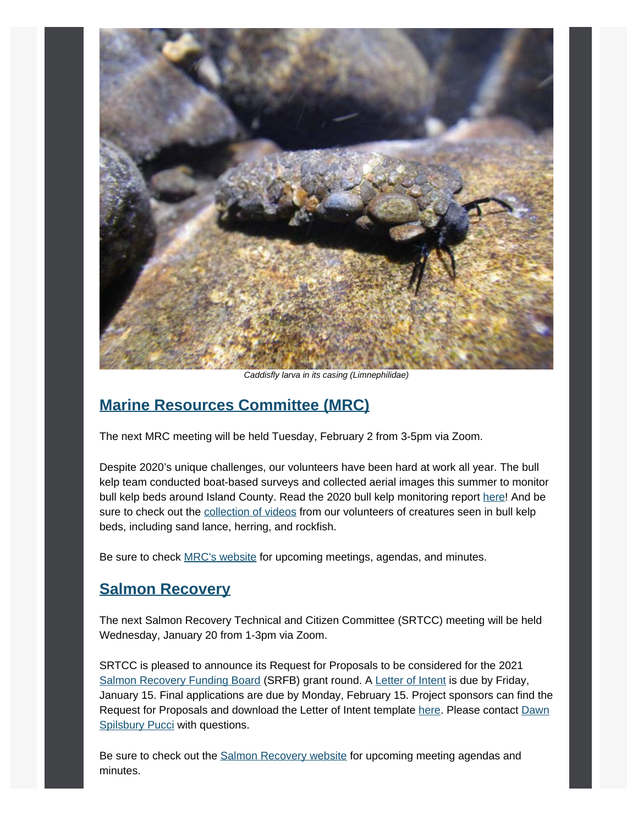

*Caddisfly larva in its casing (Limnephilidae)*

### **[Marine Resources Committee \(MRC\)](https://www.islandcountymrc.org/?utm_content=&utm_medium=email&utm_name=&utm_source=govdelivery&utm_term=)**

The next MRC meeting will be held Tuesday, February 2 from 3-5pm via Zoom.

Despite 2020's unique challenges, our volunteers have been hard at work all year. The bull kelp team conducted boat-based surveys and collected aerial images this summer to monitor bull kelp beds around Island County. Read the 2020 bull kelp monitoring report [here!](https://www.islandcountymrc.org/media/19647/2020-mrc-bull-kelp-monitoring-full-report-final.pdf?utm_content=&utm_medium=email&utm_name=&utm_source=govdelivery&utm_term=) And be sure to check out the [collection of videos](https://www.islandcountymrc.org/projects/bull-kelp-monitoring/?utm_content=&utm_medium=email&utm_name=&utm_source=govdelivery&utm_term=) from our volunteers of creatures seen in bull kelp beds, including sand lance, herring, and rockfish.

Be sure to check [MRC's website](https://www.islandcountymrc.org/meetings-events/?utm_content=&utm_medium=email&utm_name=&utm_source=govdelivery&utm_term=) for upcoming meetings, agendas, and minutes.

### **[Salmon Recovery](https://www.islandcountywa.gov/Health/DNR/Salmon/Pages/Home.aspx?utm_content=&utm_medium=email&utm_name=&utm_source=govdelivery&utm_term=)**

The next Salmon Recovery Technical and Citizen Committee (SRTCC) meeting will be held Wednesday, January 20 from 1-3pm via Zoom.

SRTCC is pleased to announce its Request for Proposals to be considered for the 2021 [Salmon Recovery Funding Board](https://lnks.gd/l/eyJhbGciOiJIUzI1NiJ9.eyJidWxsZXRpbl9saW5rX2lkIjoxMDIsInVyaSI6ImJwMjpjbGljayIsImJ1bGxldGluX2lkIjoiMjAyMDEyMjMuMzI0NTI2MzEiLCJ1cmwiOiJodHRwczovL3Jjby53YS5nb3YvYm9hcmRzL3NhbG1vbi1yZWNvdmVyeS1mdW5kaW5nLWJvYXJkLz91dG1fY29udGVudD0mdXRtX21lZGl1bT1lbWFpbCZ1dG1fbmFtZT0mdXRtX3NvdXJjZT1nb3ZkZWxpdmVyeSZ1dG1fdGVybT0ifQ.GFcA3749nRPDElXC0YOEQIfCTfmcKBvoXsW9BJnm-uk/s/1119264387/br/92341523803-l?utm_content=&utm_medium=email&utm_name=&utm_source=govdelivery&utm_term=) (SRFB) grant round. A [Letter of Intent](https://lnks.gd/l/eyJhbGciOiJIUzI1NiJ9.eyJidWxsZXRpbl9saW5rX2lkIjoxMDMsInVyaSI6ImJwMjpjbGljayIsImJ1bGxldGluX2lkIjoiMjAyMDEyMjMuMzI0NTI2MzEiLCJ1cmwiOiJodHRwczovL3d3dy5pc2xhbmRjb3VudHl3YS5nb3YvSGVhbHRoL0ROUi9TYWxtb24vUGFnZXMvU0ZSQi1HcmFudC1GdW5kaW5nLmFzcHg_dXRtX2NvbnRlbnQ9JnV0bV9tZWRpdW09ZW1haWwmdXRtX25hbWU9JnV0bV9zb3VyY2U9Z292ZGVsaXZlcnkmdXRtX3Rlcm09In0.jPmcwWEWD4M_dlIugqO-RxqZ7icMz2JDN0rh9MtFAzw/s/1119264387/br/92341523803-l?utm_content=&utm_medium=email&utm_name=&utm_source=govdelivery&utm_term=) is due by Friday, January 15. Final applications are due by Monday, February 15. Project sponsors can find the Request for Proposals and download the Letter of Intent template [here.](https://lnks.gd/l/eyJhbGciOiJIUzI1NiJ9.eyJidWxsZXRpbl9saW5rX2lkIjoxMDQsInVyaSI6ImJwMjpjbGljayIsImJ1bGxldGluX2lkIjoiMjAyMDEyMjMuMzI0NTI2MzEiLCJ1cmwiOiJodHRwczovL3d3dy5pc2xhbmRjb3VudHl3YS5nb3YvSGVhbHRoL0ROUi9TYWxtb24vUGFnZXMvU0ZSQi1HcmFudC1GdW5kaW5nLmFzcHg_dXRtX2NvbnRlbnQ9JnV0bV9tZWRpdW09ZW1haWwmdXRtX25hbWU9JnV0bV9zb3VyY2U9Z292ZGVsaXZlcnkmdXRtX3Rlcm09In0.YnOQdt2Eg7ID9_AR609EfzcQnxP1-mvXQQR4YMWL_bU/s/1119264387/br/92341523803-l?utm_content=&utm_medium=email&utm_name=&utm_source=govdelivery&utm_term=) Please contact [Dawn](mailto:d.pucci@islandcountywa.gov) [Spilsbury Pucci](mailto:d.pucci@islandcountywa.gov) with questions.

Be sure to check out the [Salmon Recovery website](https://www.islandcountywa.gov/Health/DNR/Salmon/Pages/SRTCC-Meeting-Notes.aspx?utm_content=&utm_medium=email&utm_name=&utm_source=govdelivery&utm_term=) for upcoming meeting agendas and minutes.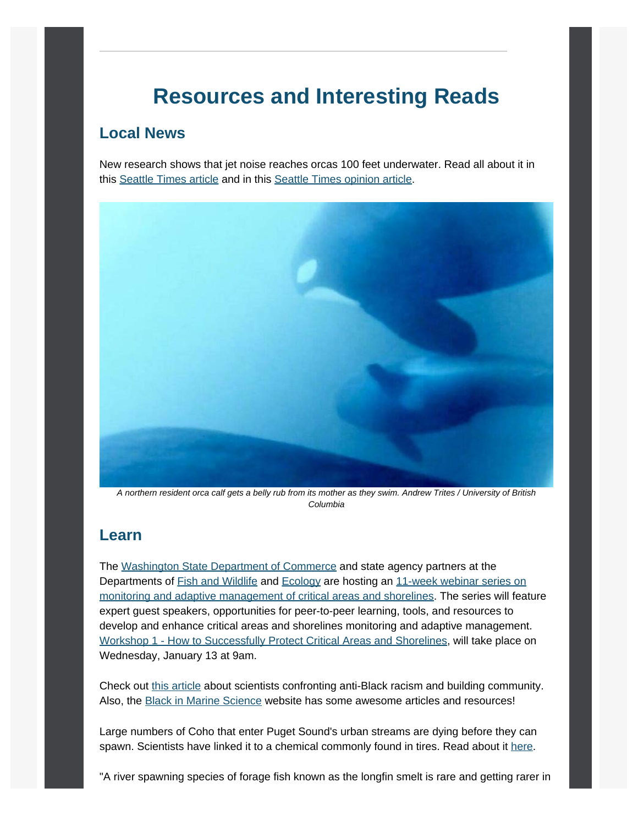### **Resources and Interesting Reads**

### **Local News**

New research shows that jet noise reaches orcas 100 feet underwater. Read all about it in this [Seattle Times article](https://www.seattletimes.com/seattle-news/environment/navy-growler-jet-noise-loud-enough-to-reach-orca-pods-even-100-feet-underwater-new-research-shows/?utm_content=&utm_medium=email&utm_name=&utm_source=govdelivery&utm_term=) and in this [Seattle Times opinion article](https://www.seattletimes.com/opinion/navy-captain-growlers-do-not-pose-significant-noise-threat-to-southern-resident-orcas/?utm_content=&utm_medium=email&utm_name=&utm_source=govdelivery&utm_term=).



*A northern resident orca calf gets a belly rub from its mother as they swim. Andrew Trites / University of British Columbia*

#### **Learn**

The [Washington State Department of Commerce](https://lnks.gd/l/eyJhbGciOiJIUzI1NiJ9.eyJidWxsZXRpbl9saW5rX2lkIjoxMjUsInVyaSI6ImJwMjpjbGljayIsImJ1bGxldGluX2lkIjoiMjAyMDEyMDguMzE3Njg0OTEiLCJ1cmwiOiJodHRwczovL2xua3MuZ2QvbC9leUpoYkdjaU9pSklVekkxTmlKOS5leUppZFd4c1pYUnBibDlzYVc1clgybGtJam94TXpVc0luVnlhU0k2SW1Kd01qcGpiR2xqYXlJc0ltSjFiR3hsZEdsdVgybGtJam9pTWpBeU1ERXhNRFl1TXpBd01qWTRPREVpTENKMWNtd2lPaUpvZEhSd2N6b3ZMM2QzZHk1amIyMXRaWEpqWlM1M1lTNW5iM1l2YzJWeWRtbHVaeTFqYjIxdGRXNXBkR2xsY3k5bmNtOTNkR2d0YldGdVlXZGxiV1Z1ZEM5bmNtOTNkR2d0YldGdVlXZGxiV1Z1ZEMxMGIzQnBZM012WTNKcGRHbGpZV3d0WVhKbFlYTXZQM1YwYlY5amIyNTBaVzUwUFNaMWRHMWZiV1ZrYVhWdFBXVnRZV2xzSm5WMGJWOXVZVzFsUFNaMWRHMWZjMjkxY21ObFBXZHZkbVJsYkdsMlpYSjVKblYwYlY5MFpYSnRQU0o5LkwxMERPZU11SFpZck1YMWZkZndUN1FJMUpSVkQ1cVZuRUV4ZDVQdWpwakUvcy8xMTE5MjY0Mzg3L2JyLzg4MTA4NjQ0MzE4LWw_dXRtX2NvbnRlbnQ9JnV0bV9tZWRpdW09ZW1haWwmdXRtX25hbWU9JnV0bV9zb3VyY2U9Z292ZGVsaXZlcnkmdXRtX3Rlcm09In0.4CoGHwzDy3dYhNsqJIx43e9MYcJCFCEBidr9srUShKo/s/1119264387/br/91325605607-l?utm_content=&utm_medium=email&utm_name=&utm_source=govdelivery&utm_term=) and state agency partners at the Departments of **Fish and Wildlife and [Ecology](https://lnks.gd/l/eyJhbGciOiJIUzI1NiJ9.eyJidWxsZXRpbl9saW5rX2lkIjoxMjcsInVyaSI6ImJwMjpjbGljayIsImJ1bGxldGluX2lkIjoiMjAyMDEyMDguMzE3Njg0OTEiLCJ1cmwiOiJodHRwczovL2xua3MuZ2QvbC9leUpoYkdjaU9pSklVekkxTmlKOS5leUppZFd4c1pYUnBibDlzYVc1clgybGtJam94TXpjc0luVnlhU0k2SW1Kd01qcGpiR2xqYXlJc0ltSjFiR3hsZEdsdVgybGtJam9pTWpBeU1ERXhNRFl1TXpBd01qWTRPREVpTENKMWNtd2lPaUpvZEhSd2N6b3ZMMlZqYjJ4dloza3VkMkV1WjI5Mkx6OTFkRzFmWTI5dWRHVnVkRDBtZFhSdFgyMWxaR2wxYlQxbGJXRnBiQ1oxZEcxZmJtRnRaVDBtZFhSdFgzTnZkWEpqWlQxbmIzWmtaV3hwZG1WeWVTWjFkRzFmZEdWeWJUMGlmUS5VTUoyRTlBWUxHS3gxaW9OS3ZadUVfM2ZPUUJsVkNZTmdzNEprM2p4SzZjL3MvMTExOTI2NDM4Ny9ici84ODEwODY0NDMxOC1sP3V0bV9jb250ZW50PSZ1dG1fbWVkaXVtPWVtYWlsJnV0bV9uYW1lPSZ1dG1fc291cmNlPWdvdmRlbGl2ZXJ5JnV0bV90ZXJtPSJ9.BwSyXDKTXanqHYdMl4DscY_jI8OGfXxczk2F4ttRbkI/s/1119264387/br/91325605607-l?utm_content=&utm_medium=email&utm_name=&utm_source=govdelivery&utm_term=)** are hosting an [11-week webinar series on](https://lnks.gd/l/eyJhbGciOiJIUzI1NiJ9.eyJidWxsZXRpbl9saW5rX2lkIjoxMjgsInVyaSI6ImJwMjpjbGljayIsImJ1bGxldGluX2lkIjoiMjAyMDEyMDguMzE3Njg0OTEiLCJ1cmwiOiJodHRwczovL3d3dy5lenZpZXcud2EuZ292L3NpdGUvYWxpYXNfXzE5OTIvMzc2NjIvMjAyMV93b3Jrc2hvcHMuYXNweD91dG1fY29udGVudD0mdXRtX21lZGl1bT1lbWFpbCZ1dG1fbmFtZT0mdXRtX3NvdXJjZT1nb3ZkZWxpdmVyeSZ1dG1fdGVybT0ifQ.ro7DvCPAPa7SutvgYhbgRFFWpRhefA1t82Kqv0SotRw/s/1119264387/br/91325605607-l?utm_content=&utm_medium=email&utm_name=&utm_source=govdelivery&utm_term=) [monitoring and adaptive management of critical areas and shorelines.](https://lnks.gd/l/eyJhbGciOiJIUzI1NiJ9.eyJidWxsZXRpbl9saW5rX2lkIjoxMjgsInVyaSI6ImJwMjpjbGljayIsImJ1bGxldGluX2lkIjoiMjAyMDEyMDguMzE3Njg0OTEiLCJ1cmwiOiJodHRwczovL3d3dy5lenZpZXcud2EuZ292L3NpdGUvYWxpYXNfXzE5OTIvMzc2NjIvMjAyMV93b3Jrc2hvcHMuYXNweD91dG1fY29udGVudD0mdXRtX21lZGl1bT1lbWFpbCZ1dG1fbmFtZT0mdXRtX3NvdXJjZT1nb3ZkZWxpdmVyeSZ1dG1fdGVybT0ifQ.ro7DvCPAPa7SutvgYhbgRFFWpRhefA1t82Kqv0SotRw/s/1119264387/br/91325605607-l?utm_content=&utm_medium=email&utm_name=&utm_source=govdelivery&utm_term=) The series will feature expert guest speakers, opportunities for peer-to-peer learning, tools, and resources to develop and enhance critical areas and shorelines monitoring and adaptive management. [Workshop 1 - How to Successfully Protect Critical Areas and Shorelines,](https://lnks.gd/l/eyJhbGciOiJIUzI1NiJ9.eyJidWxsZXRpbl9saW5rX2lkIjoxMjksInVyaSI6ImJwMjpjbGljayIsImJ1bGxldGluX2lkIjoiMjAyMDEyMDguMzE3Njg0OTEiLCJ1cmwiOiJodHRwczovL3d3dy5lenZpZXcud2EuZ292L0Rlc2t0b3BNb2R1bGVzL0NhbGVuZGFyRXZlbnRzL0V2ZW50Vmlldy5hc3B4P0l0ZW1JRD0zOTAmYWxpYXM9MTk5MiZtaWQ9NzAzNzUmdGFiSUQ9Mzc2NjImdXRtX2NvbnRlbnQ9JnV0bV9tZWRpdW09ZW1haWwmdXRtX25hbWU9JnV0bV9zb3VyY2U9Z292ZGVsaXZlcnkmdXRtX3Rlcm09In0.gpbCIUtoZgHdb3xiIXVDU_MTSTwWH8t64uhXdTuEkfY/s/1119264387/br/91325605607-l?utm_content=&utm_medium=email&utm_name=&utm_source=govdelivery&utm_term=) will take place on Wednesday, January 13 at 9am.

Check out [this article](https://www.sciencemag.org/careers/2020/12/time-reckoning-how-scientists-confronted-anti-black-racism-and-built-community-2020?utm_content=&utm_medium=email&utm_name=&utm_source=govdelivery&utm_term=) about scientists confronting anti-Black racism and building community. Also, the [Black in Marine Science](https://blackinmarsci.github.io/index.html?utm_content=&utm_medium=email&utm_name=&utm_source=govdelivery&utm_term=) website has some awesome articles and resources!

Large numbers of Coho that enter Puget Sound's urban streams are dying before they can spawn. Scientists have linked it to a chemical commonly found in tires. Read about it [here](https://www.eopugetsound.org/magazine/IS/coho-and-tires?utm_content=&utm_medium=email&utm_name=&utm_source=govdelivery&utm_term=).

"A river spawning species of forage fish known as the longfin smelt is rare and getting rarer in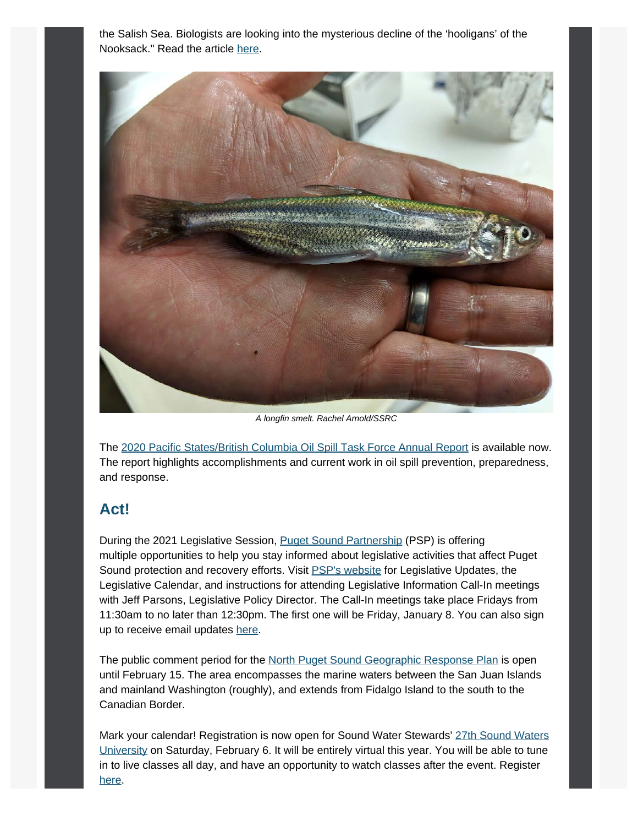the Salish Sea. Biologists are looking into the mysterious decline of the 'hooligans' of the Nooksack." Read the article [here.](https://www.eopugetsound.org/magazine/IS/longfin-smelt?utm_content=&utm_medium=email&utm_name=&utm_source=govdelivery&utm_term=)



*A longfin smelt. Rachel Arnold/SSRC*

The [2020 Pacific States/British Columbia Oil Spill Task Force Annual Report](http://oilspilltaskforce.org/wp-content/uploads/2020/11/OSTF-AnnualReport2020-onscreen.pdf?utm_content=&utm_medium=email&utm_name=&utm_source=govdelivery&utm_term=) is available now. The report highlights accomplishments and current work in oil spill prevention, preparedness, and response.

### **Act!**

During the 2021 Legislative Session, [Puget Sound Partnership](https://www.psp.wa.gov/?utm_content=&utm_medium=email&utm_name=&utm_source=govdelivery&utm_term=) (PSP) is offering multiple opportunities to help you stay informed about legislative activities that affect Puget Sound protection and recovery efforts. Visit **PSP's website for Legislative Updates**, the Legislative Calendar, and instructions for attending Legislative Information Call-In meetings with Jeff Parsons, Legislative Policy Director. The Call-In meetings take place Fridays from 11:30am to no later than 12:30pm. The first one will be Friday, January 8. You can also sign up to receive email updates [here.](https://psp.wa.gov/legislative_updates.php?utm_content=&utm_medium=email&utm_name=&utm_source=govdelivery&utm_term=)

The public comment period for the [North Puget Sound Geographic Response Plan](https://fortress.wa.gov/ecy/ezshare/sppr/Preparedness/NPS-GRP/NPS_PublicReviewCoverPage.pdf?utm_content=&utm_medium=email&utm_name=&utm_source=govdelivery&utm_term=) is open until February 15. The area encompasses the marine waters between the San Juan Islands and mainland Washington (roughly), and extends from Fidalgo Island to the south to the Canadian Border.

Mark your calendar! Registration is now open for Sound Water Stewards' [27th Sound Waters](https://www.soundwatersuniversity.org/?utm_content=&utm_medium=email&utm_name=&utm_source=govdelivery&utm_term=) [University](https://www.soundwatersuniversity.org/?utm_content=&utm_medium=email&utm_name=&utm_source=govdelivery&utm_term=) on Saturday, February 6. It will be entirely virtual this year. You will be able to tune in to live classes all day, and have an opportunity to watch classes after the event. Register [here.](https://www.soundwatersuniversity.org/?utm_content=&utm_medium=email&utm_name=&utm_source=govdelivery&utm_term=)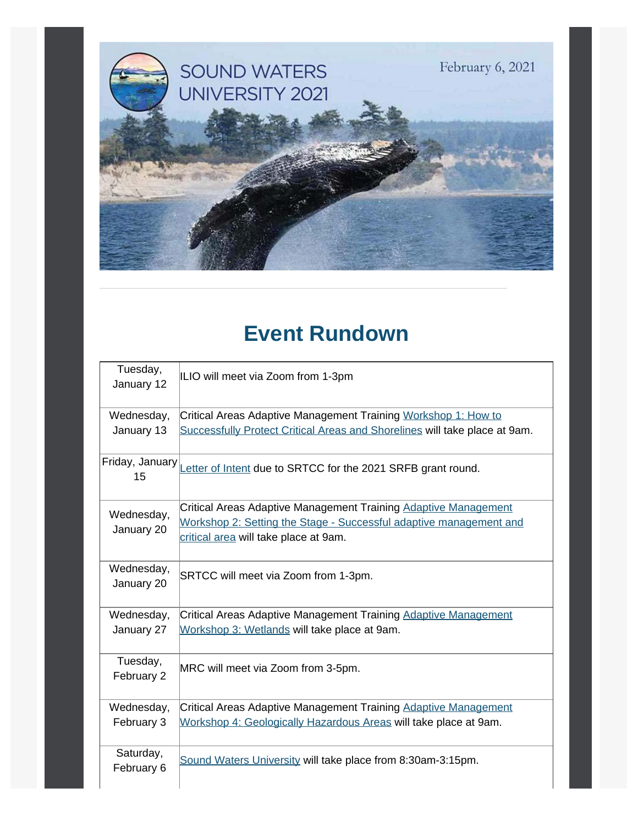

## **Event Rundown**

| Tuesday,<br>January 12   | ILIO will meet via Zoom from 1-3pm                                           |  |
|--------------------------|------------------------------------------------------------------------------|--|
| Wednesday,               | Critical Areas Adaptive Management Training Workshop 1: How to               |  |
| January 13               | Successfully Protect Critical Areas and Shorelines will take place at 9am.   |  |
| 15                       | Friday, January Letter of Intent due to SRTCC for the 2021 SRFB grant round. |  |
| Wednesday,<br>January 20 | Critical Areas Adaptive Management Training Adaptive Management              |  |
|                          | Workshop 2: Setting the Stage - Successful adaptive management and           |  |
|                          | critical area will take place at 9am.                                        |  |
| Wednesday,               | SRTCC will meet via Zoom from 1-3pm.                                         |  |
| January 20               |                                                                              |  |
| Wednesday,               | Critical Areas Adaptive Management Training Adaptive Management              |  |
| January 27               | Workshop 3: Wetlands will take place at 9am.                                 |  |
| Tuesday,                 | MRC will meet via Zoom from 3-5pm.                                           |  |
| February 2               |                                                                              |  |
| Wednesday,               | Critical Areas Adaptive Management Training Adaptive Management              |  |
| February 3               | Workshop 4: Geologically Hazardous Areas will take place at 9am.             |  |
| Saturday,                | Sound Waters University will take place from 8:30am-3:15pm.                  |  |
| February 6               |                                                                              |  |